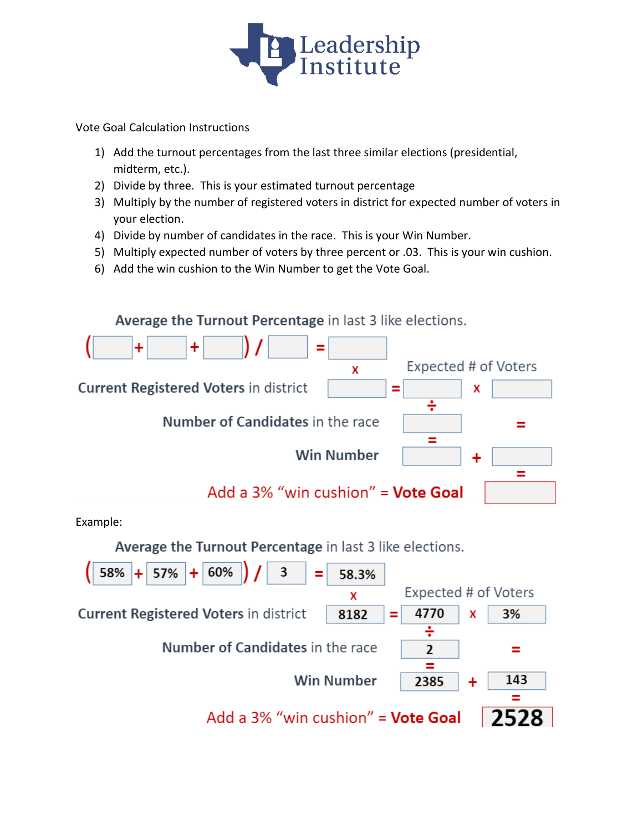

Vote Goal Calculation Instructions

- 1) Add the turnout percentages from the last three similar elections (presidential, midterm, etc.).
- 2) Divide by three. This is your estimated turnout percentage
- 3) Multiply by the number of registered voters in district for expected number of voters in your election.
- 4) Divide by number of candidates in the race. This is your Win Number.
- 5) Multiply expected number of voters by three percent or .03. This is your win cushion.
- 6) Add the win cushion to the Win Number to get the Vote Goal.



Example:

Average the Turnout Percentage in last 3 like elections.